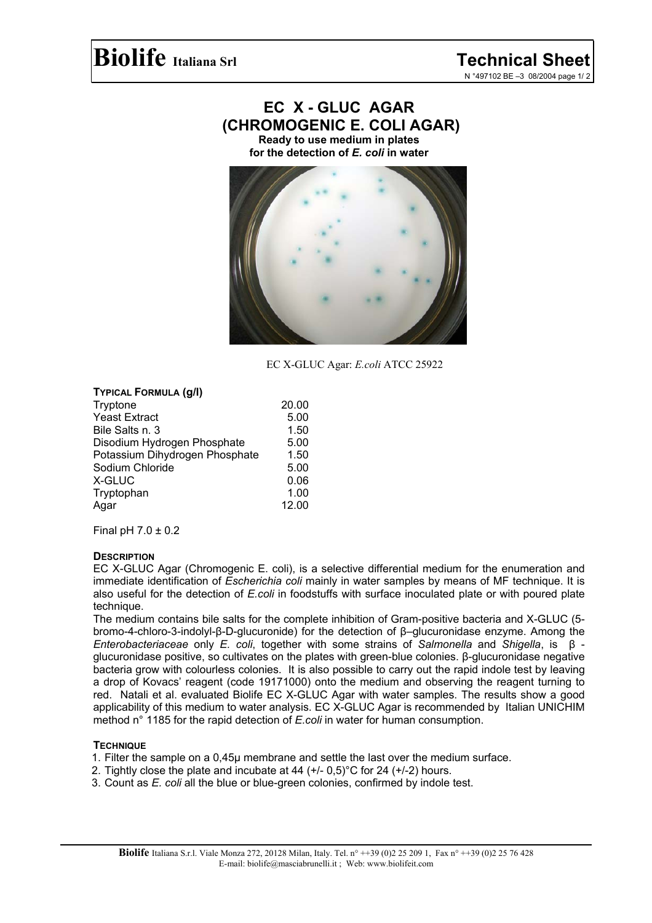# **EC X - GLUC AGAR (CHROMOGENIC E. COLI AGAR)**

**Ready to use medium in plates for the detection of** *E. coli* **in water** 



EC X-GLUC Agar: *E.coli* ATCC 25922

### **TYPICAL FORMULA (g/l)**

| Tryptone                       | 20.00 |
|--------------------------------|-------|
| <b>Yeast Extract</b>           | 5.00  |
| Bile Salts n. 3                | 1.50  |
| Disodium Hydrogen Phosphate    | 5.00  |
| Potassium Dihydrogen Phosphate | 1.50  |
| Sodium Chloride                | 5.00  |
| X-GLUC                         | 0.06  |
| Tryptophan                     | 1.00  |
| Agar                           | 12.00 |

Final pH  $7.0 \pm 0.2$ 

### **DESCRIPTION**

EC X-GLUC Agar (Chromogenic E. coli), is a selective differential medium for the enumeration and immediate identification of *Escherichia coli* mainly in water samples by means of MF technique. It is also useful for the detection of *E.coli* in foodstuffs with surface inoculated plate or with poured plate technique.

The medium contains bile salts for the complete inhibition of Gram-positive bacteria and X-GLUC (5 bromo-4-chloro-3-indolyl-β-D-glucuronide) for the detection of β–glucuronidase enzyme. Among the *Enterobacteriaceae* only *E. coli*, together with some strains of *Salmonella* and *Shigella*, is β glucuronidase positive, so cultivates on the plates with green-blue colonies. β-glucuronidase negative bacteria grow with colourless colonies. It is also possible to carry out the rapid indole test by leaving a drop of Kovacs' reagent (code 19171000) onto the medium and observing the reagent turning to red. Natali et al. evaluated Biolife EC X-GLUC Agar with water samples. The results show a good applicability of this medium to water analysis. EC X-GLUC Agar is recommended by Italian UNICHIM method n° 1185 for the rapid detection of *E.coli* in water for human consumption.

# **TECHNIQUE**

- 1. Filter the sample on a 0,45µ membrane and settle the last over the medium surface.
- 2. Tightly close the plate and incubate at 44  $(+/- 0.5)$ °C for 24  $(+/- 2)$  hours.
- 3. Count as *E. coli* all the blue or blue-green colonies, confirmed by indole test.